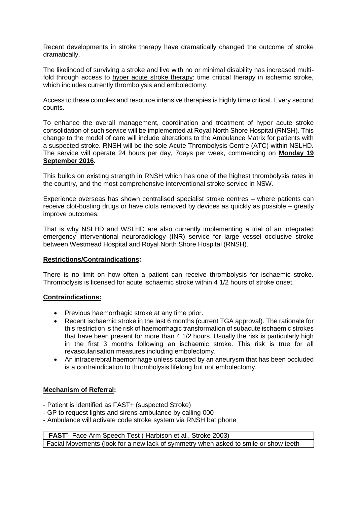Recent developments in stroke therapy have dramatically changed the outcome of stroke dramatically.

The likelihood of surviving a stroke and live with no or minimal disability has increased multifold through access to hyper acute stroke therapy: time critical therapy in ischemic stroke, which includes currently thrombolysis and embolectomy.

Access to these complex and resource intensive therapies is highly time critical. Every second counts.

To enhance the overall management, coordination and treatment of hyper acute stroke consolidation of such service will be implemented at Royal North Shore Hospital (RNSH). This change to the model of care will include alterations to the Ambulance Matrix for patients with a suspected stroke. RNSH will be the sole Acute Thrombolysis Centre (ATC) within NSLHD. The service will operate 24 hours per day, 7days per week, commencing on **Monday 19 September 2016.**

This builds on existing strength in RNSH which has one of the highest thrombolysis rates in the country, and the most comprehensive interventional stroke service in NSW.

Experience overseas has shown centralised specialist stroke centres – where patients can receive clot-busting drugs or have clots removed by devices as quickly as possible – greatly improve outcomes.

That is why NSLHD and WSLHD are also currently implementing a trial of an integrated emergency interventional neuroradiology (INR) service for large vessel occlusive stroke between Westmead Hospital and Royal North Shore Hospital (RNSH).

### **Restrictions/Contraindications:**

There is no limit on how often a patient can receive thrombolysis for ischaemic stroke. Thrombolysis is licensed for acute ischaemic stroke within 4 1/2 hours of stroke onset.

### **Contraindications:**

- Previous haemorrhagic stroke at any time prior.
- Recent ischaemic stroke in the last 6 months (current TGA approval). The rationale for this restriction is the risk of haemorrhagic transformation of subacute ischaemic strokes that have been present for more than 4 1/2 hours. Usually the risk is particularly high in the first 3 months following an ischaemic stroke. This risk is true for all revascularisation measures including embolectomy.
- An intracerebral haemorrhage unless caused by an aneurysm that has been occluded is a contraindication to thrombolysis lifelong but not embolectomy.

### **Mechanism of Referral:**

- Patient is identified as FAST+ (suspected Stroke)
- GP to request lights and sirens ambulance by calling 000
- Ambulance will activate code stroke system via RNSH bat phone

"**FAST**"- Face Arm Speech Test ( Harbison et al., Stroke 2003) **F**acial Movements (look for a new lack of symmetry when asked to smile or show teeth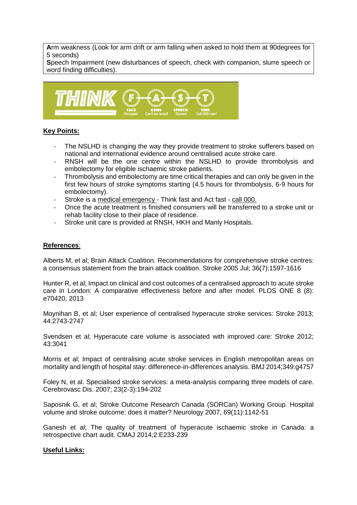**A**rm weakness (Look for arm drift or arm falling when asked to hold them at 90degrees for 5 seconds)

**S**peech Impairment (new disturbances of speech, check with companion, slurre speech or word finding difficulties).



# **Key Points:**

- The NSLHD is changing the way they provide treatment to stroke sufferers based on national and international evidence around centralised acute stroke care.
- RNSH will be the one centre within the NSLHD to provide thrombolysis and embolectomy for eligible ischaemic stroke patients.
- Thrombolysis and embolectomy are time critical therapies and can only be given in the first few hours of stroke symptoms starting (4.5 hours for thrombolysis, 6-9 hours for embolectomy).
- Stroke is a medical emergency Think fast and Act fast call 000.
- Once the acute treatment is finished consumers will be transferred to a stroke unit or rehab facility close to their place of residence.
- Stroke unit care is provided at RNSH, HKH and Manly Hospitals.

## **References**:

Alberts M, et al; Brain Attack Coalition. Recommendations for comprehensive stroke centres: a consensus statement from the brain attack coalition. Stroke 2005 Jul; 36(7):1597-1616

Hunter R, et al; Impact on clinical and cost outcomes of a centralised approach to acute stroke care in London: A comparative effectiveness before and after model. PLOS ONE 8 (8): e70420, 2013

Moynihan B, et al; User experience of centralised hyperacute stroke services: Stroke 2013; 44:2743-2747

Svendsen et al; Hyperacute care volume is associated with improved care: Stroke 2012; 43:3041

Morris et al; Impact of centralising acute stroke services in English metropolitan areas on mortality and length of hospital stay: differenece-in-differences analysis. BMJ 2014;349:g4757

Foley N, et al. Specialised stroke services: a meta-analysis comparing three models of care. Cerebrovasc Dis. 2007; 23(2-3):194-202

Saposnik G, et al; Stroke Outcome Research Canada (SORCan) Working Group. Hospital volume and stroke outcome: does it matter? Neurology 2007, 69(11):1142-51

Ganesh et al; The quality of treatment of hyperacute ischaemic stroke in Canada: a retrospective chart audit. CMAJ 2014;2:E233-239

### **Useful Links:**